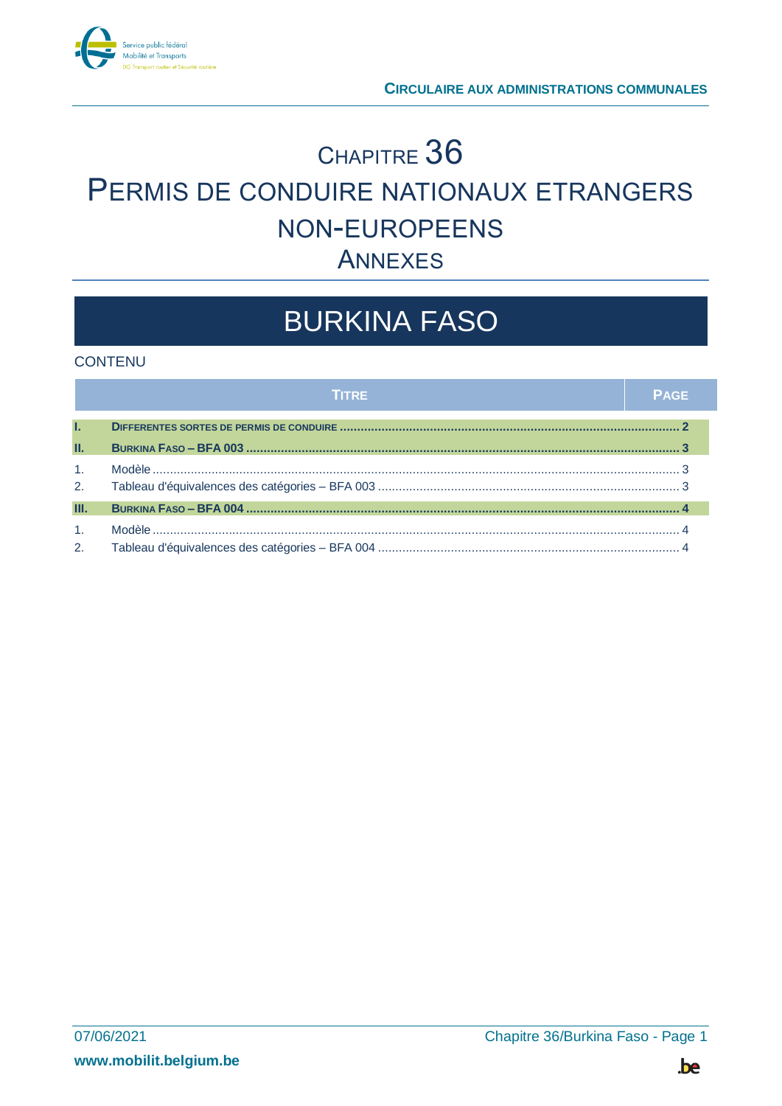

## <sup>C</sup>HAPITRE 36 PERMIS DE CONDUIRE NATIONAUX ETRANGERS NON-EUROPEENS ANNEXES

# BURKINA FASO

### **CONTENU**

|                | <b>TITRE</b> | <b>PAGE</b> |
|----------------|--------------|-------------|
| L.             |              |             |
| П.             |              |             |
| 1 <sub>1</sub> |              |             |
| 2.             |              |             |
| Ш.             |              |             |
| 1.             |              |             |
| 2.             |              |             |

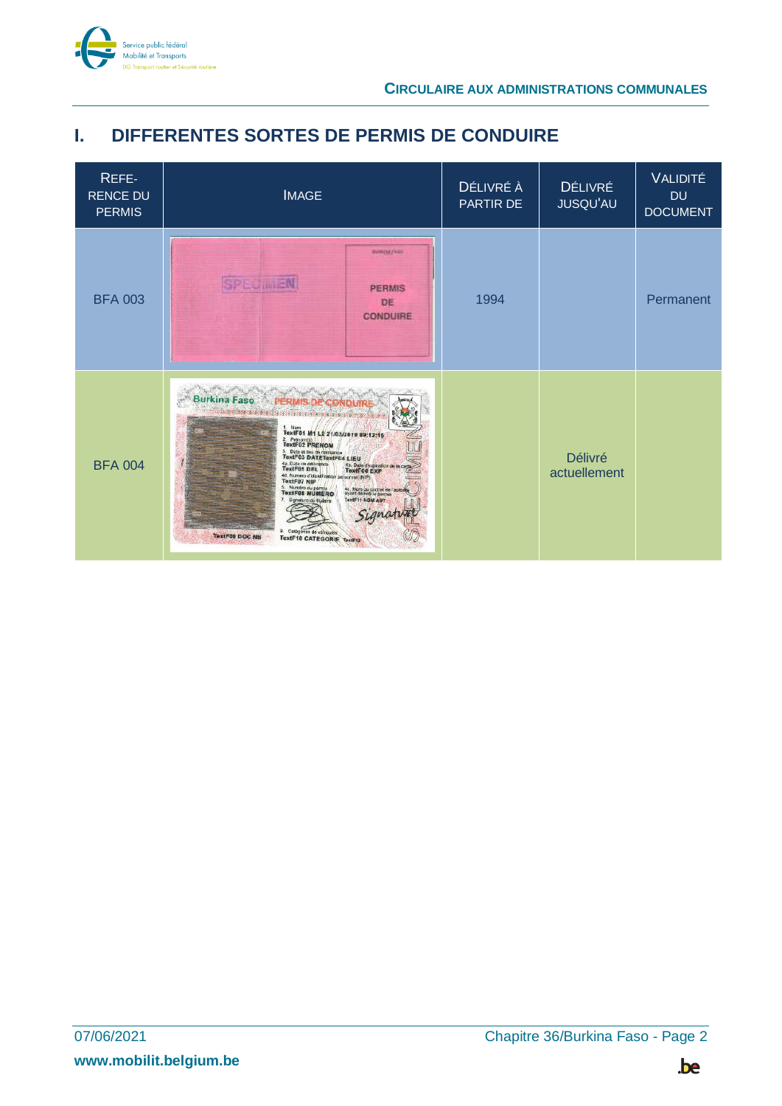

### <span id="page-1-0"></span>**I. DIFFERENTES SORTES DE PERMIS DE CONDUIRE**

| REFE-<br><b>RENCE DU</b><br><b>PERMIS</b> | <b>IMAGE</b>                                                                                                                                                                                                                                                                                                                                                                                                                                      | DÉLIVRÉ À<br>PARTIR DE | <b>DÉLIVRÉ</b><br>JUSQU'AU | <b>VALIDITÉ</b><br><b>DU</b><br><b>DOCUMENT</b> |
|-------------------------------------------|---------------------------------------------------------------------------------------------------------------------------------------------------------------------------------------------------------------------------------------------------------------------------------------------------------------------------------------------------------------------------------------------------------------------------------------------------|------------------------|----------------------------|-------------------------------------------------|
| <b>BFA 003</b>                            | <b>NUMPERTAIN</b><br><b>SPECIMEN</b><br><b>PERMIS</b><br>DE<br><b>CONDUIRE</b>                                                                                                                                                                                                                                                                                                                                                                    | 1994                   |                            | Permanent                                       |
| <b>BFA 004</b>                            | Burkina Fase & PERMIS DE CONDUIRE<br>1. Nom<br>TextF01 M1 L2 21/03/2019 09:12:15<br>2. Pránom(s)<br>3. Date at lieu de naissance<br>4a. Date de délivrance<br>4b. Date despiration de<br>4d. Numéro d'Identification personnel (NIP)<br>TextF07 NIP<br>5. Numéro du permis<br>4c. Nom ou cachet de l'autorit<br>7. Signature du titulaire<br>TextF11-NOM AUT<br>Signati<br>Catégories de véhicules<br>TextF09 DOC NB<br>TextF10 CATEGORIE TextF12 |                        | Délivré<br>actuellement    |                                                 |

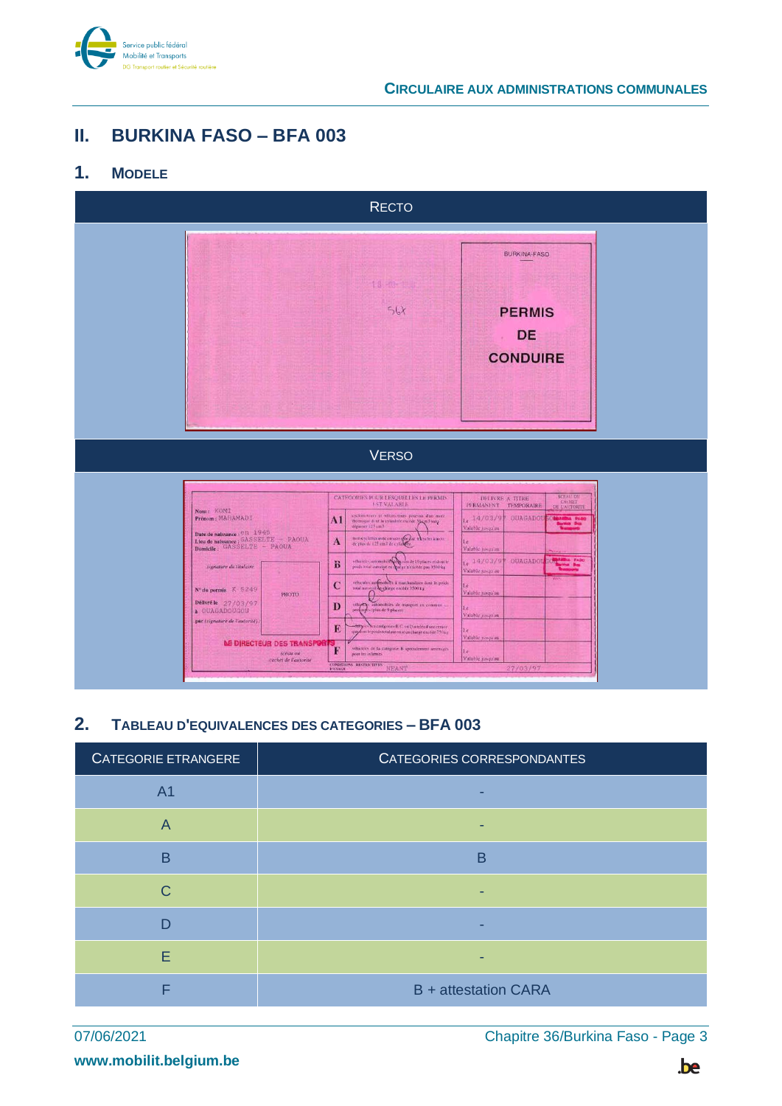

#### <span id="page-2-0"></span>Ш. **BURKINA FASO - BFA 003**

#### <span id="page-2-1"></span> $1<sub>1</sub>$ **MODELE**



#### <span id="page-2-2"></span> $2.$ TABLEAU D'EQUIVALENCES DES CATEGORIES - BFA 003

| CATEGORIE ETRANGERE     | CATEGORIES CORRESPONDANTES  |
|-------------------------|-----------------------------|
| A <sub>1</sub>          |                             |
| $\overline{\mathsf{A}}$ |                             |
| B                       | B                           |
| C                       |                             |
| D                       |                             |
| E                       |                             |
|                         | <b>B</b> + attestation CARA |